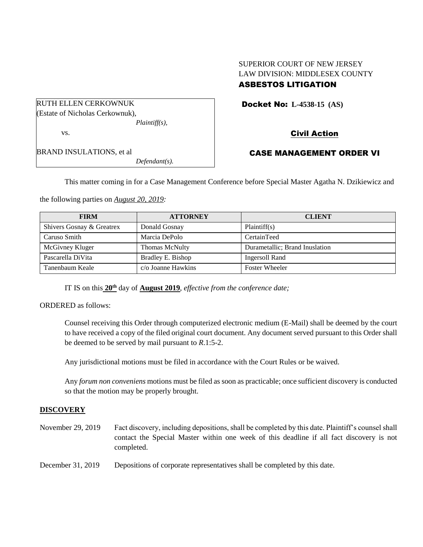# SUPERIOR COURT OF NEW JERSEY LAW DIVISION: MIDDLESEX COUNTY

# ASBESTOS LITIGATION

Docket No: **L-4538-15 (AS)** 

Civil Action

BRAND INSULATIONS, et al *Defendant(s).*

RUTH ELLEN CERKOWNUK (Estate of Nicholas Cerkownuk),

vs.

# CASE MANAGEMENT ORDER VI

This matter coming in for a Case Management Conference before Special Master Agatha N. Dzikiewicz and

the following parties on *August 20, 2019:*

| <b>FIRM</b>               | <b>ATTORNEY</b>           | <b>CLIENT</b>                  |
|---------------------------|---------------------------|--------------------------------|
| Shivers Gosnay & Greatrex | Donald Gosnay             | Plaintiff(s)                   |
| Caruso Smith              | Marcia DePolo             | CertainTeed                    |
| McGivney Kluger           | Thomas McNulty            | Durametallic; Brand Inuslation |
| Pascarella DiVita         | Bradley E. Bishop         | Ingersoll Rand                 |
| Tanenbaum Keale           | $c/\sigma$ Joanne Hawkins | <b>Foster Wheeler</b>          |

IT IS on this  $20^{\text{th}}$  day of **August** 2019, *effective from the conference date*;

*Plaintiff(s),*

ORDERED as follows:

Counsel receiving this Order through computerized electronic medium (E-Mail) shall be deemed by the court to have received a copy of the filed original court document. Any document served pursuant to this Order shall be deemed to be served by mail pursuant to *R*.1:5-2.

Any jurisdictional motions must be filed in accordance with the Court Rules or be waived.

Any *forum non conveniens* motions must be filed as soon as practicable; once sufficient discovery is conducted so that the motion may be properly brought.

# **DISCOVERY**

November 29, 2019 Fact discovery, including depositions, shall be completed by this date. Plaintiff's counsel shall contact the Special Master within one week of this deadline if all fact discovery is not completed.

December 31, 2019 Depositions of corporate representatives shall be completed by this date.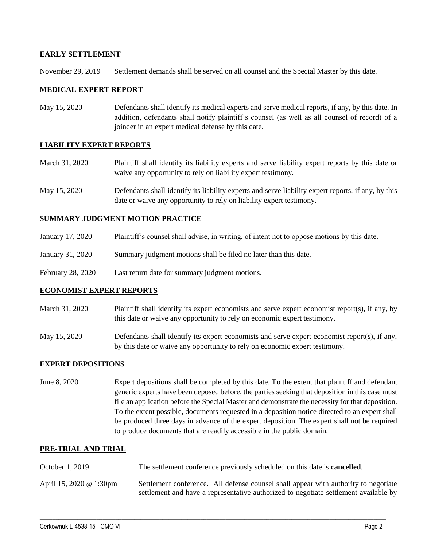## **EARLY SETTLEMENT**

November 29, 2019 Settlement demands shall be served on all counsel and the Special Master by this date.

#### **MEDICAL EXPERT REPORT**

May 15, 2020 Defendants shall identify its medical experts and serve medical reports, if any, by this date. In addition, defendants shall notify plaintiff's counsel (as well as all counsel of record) of a joinder in an expert medical defense by this date.

#### **LIABILITY EXPERT REPORTS**

- March 31, 2020 Plaintiff shall identify its liability experts and serve liability expert reports by this date or waive any opportunity to rely on liability expert testimony.
- May 15, 2020 Defendants shall identify its liability experts and serve liability expert reports, if any, by this date or waive any opportunity to rely on liability expert testimony.

## **SUMMARY JUDGMENT MOTION PRACTICE**

- January 17, 2020 Plaintiff's counsel shall advise, in writing, of intent not to oppose motions by this date.
- January 31, 2020 Summary judgment motions shall be filed no later than this date.
- February 28, 2020 Last return date for summary judgment motions.

#### **ECONOMIST EXPERT REPORTS**

- March 31, 2020 Plaintiff shall identify its expert economists and serve expert economist report(s), if any, by this date or waive any opportunity to rely on economic expert testimony.
- May 15, 2020 Defendants shall identify its expert economists and serve expert economist report(s), if any, by this date or waive any opportunity to rely on economic expert testimony.

# **EXPERT DEPOSITIONS**

June 8, 2020 Expert depositions shall be completed by this date. To the extent that plaintiff and defendant generic experts have been deposed before, the parties seeking that deposition in this case must file an application before the Special Master and demonstrate the necessity for that deposition. To the extent possible, documents requested in a deposition notice directed to an expert shall be produced three days in advance of the expert deposition. The expert shall not be required to produce documents that are readily accessible in the public domain.

#### **PRE-TRIAL AND TRIAL**

October 1, 2019 The settlement conference previously scheduled on this date is **cancelled**. April 15, 2020 @ 1:30pm Settlement conference. All defense counsel shall appear with authority to negotiate settlement and have a representative authorized to negotiate settlement available by

 $\_$  , and the set of the set of the set of the set of the set of the set of the set of the set of the set of the set of the set of the set of the set of the set of the set of the set of the set of the set of the set of th